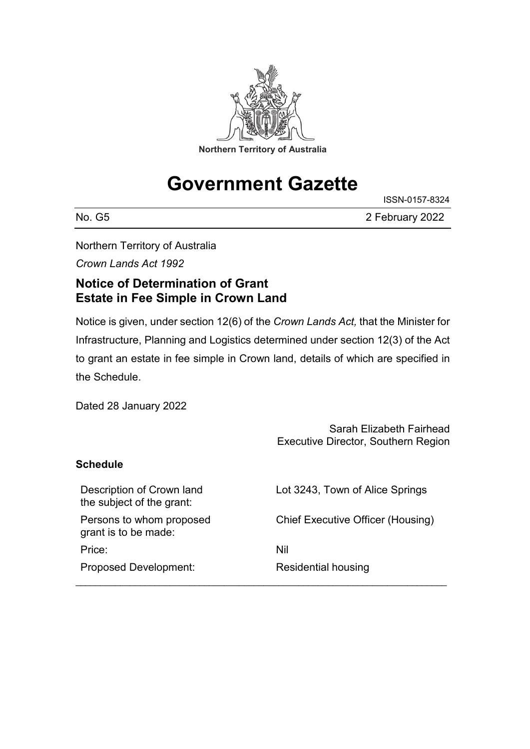

# **Government Gazette**

No. G5 2 February 2022

ISSN-0157-8324

Northern Territory of Australia

*Crown Lands Act 1992*

## **Notice of Determination of Grant Estate in Fee Simple in Crown Land**

Notice is given, under section 12(6) of the *Crown Lands Act,* that the Minister for Infrastructure, Planning and Logistics determined under section 12(3) of the Act to grant an estate in fee simple in Crown land, details of which are specified in the Schedule.

Dated 28 January 2022

|                                                        | Sarah Elizabeth Fairhead<br><b>Executive Director, Southern Region</b> |
|--------------------------------------------------------|------------------------------------------------------------------------|
| Schedule                                               |                                                                        |
| Description of Crown land<br>the subject of the grant: | Lot 3243, Town of Alice Springs                                        |
| Persons to whom proposed<br>grant is to be made:       | <b>Chief Executive Officer (Housing)</b>                               |
| Price:                                                 | Nil                                                                    |
| <b>Proposed Development:</b>                           | Residential housing                                                    |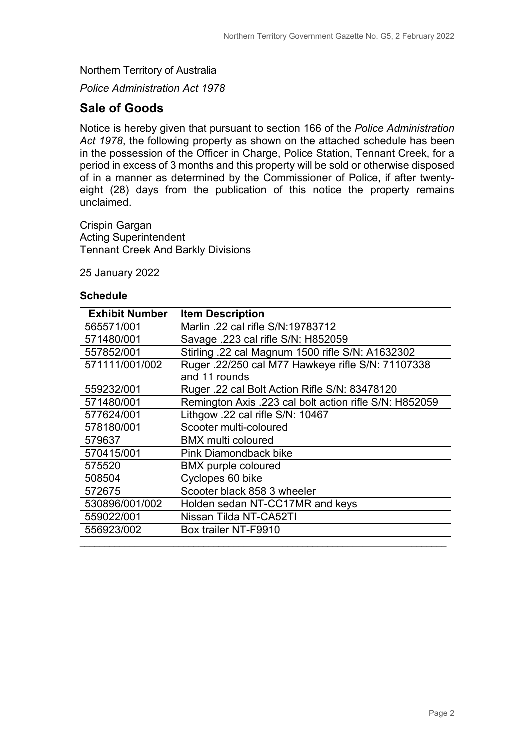Northern Territory of Australia

*Police Administration Act 1978*

#### **Sale of Goods**

Notice is hereby given that pursuant to section 166 of the *Police Administration Act 1978*, the following property as shown on the attached schedule has been in the possession of the Officer in Charge, Police Station, Tennant Creek, for a period in excess of 3 months and this property will be sold or otherwise disposed of in a manner as determined by the Commissioner of Police, if after twentyeight (28) days from the publication of this notice the property remains unclaimed.

Crispin Gargan Acting Superintendent Tennant Creek And Barkly Divisions

25 January 2022

#### **Schedule**

| <b>Exhibit Number</b> | <b>Item Description</b>                                |
|-----------------------|--------------------------------------------------------|
| 565571/001            | Marlin .22 cal rifle S/N:19783712                      |
| 571480/001            | Savage .223 cal rifle S/N: H852059                     |
| 557852/001            | Stirling .22 cal Magnum 1500 rifle S/N: A1632302       |
| 571111/001/002        | Ruger .22/250 cal M77 Hawkeye rifle S/N: 71107338      |
|                       | and 11 rounds                                          |
| 559232/001            | Ruger .22 cal Bolt Action Rifle S/N: 83478120          |
| 571480/001            | Remington Axis .223 cal bolt action rifle S/N: H852059 |
| 577624/001            | Lithgow .22 cal rifle S/N: 10467                       |
| 578180/001            | Scooter multi-coloured                                 |
| 579637                | <b>BMX</b> multi coloured                              |
| 570415/001            | <b>Pink Diamondback bike</b>                           |
| 575520                | <b>BMX</b> purple coloured                             |
| 508504                | Cyclopes 60 bike                                       |
| 572675                | Scooter black 858 3 wheeler                            |
| 530896/001/002        | Holden sedan NT-CC17MR and keys                        |
| 559022/001            | Nissan Tilda NT-CA52TI                                 |
| 556923/002            | Box trailer NT-F9910                                   |
|                       |                                                        |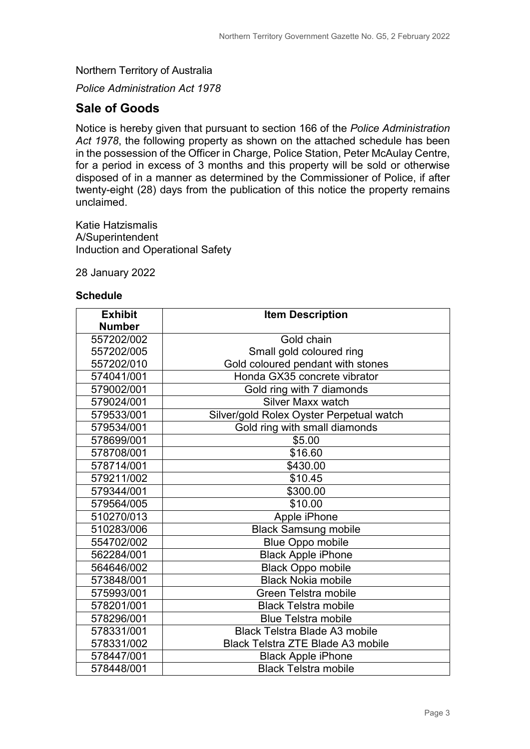Northern Territory of Australia

*Police Administration Act 1978*

### **Sale of Goods**

Notice is hereby given that pursuant to section 166 of the *Police Administration Act 1978*, the following property as shown on the attached schedule has been in the possession of the Officer in Charge, Police Station, Peter McAulay Centre, for a period in excess of 3 months and this property will be sold or otherwise disposed of in a manner as determined by the Commissioner of Police, if after twenty-eight (28) days from the publication of this notice the property remains unclaimed.

Katie Hatzismalis A/Superintendent Induction and Operational Safety

28 January 2022

#### **Schedule**

| <b>Exhibit</b> | <b>Item Description</b>                  |
|----------------|------------------------------------------|
| <b>Number</b>  |                                          |
| 557202/002     | Gold chain                               |
| 557202/005     | Small gold coloured ring                 |
| 557202/010     | Gold coloured pendant with stones        |
| 574041/001     | Honda GX35 concrete vibrator             |
| 579002/001     | Gold ring with 7 diamonds                |
| 579024/001     | Silver Maxx watch                        |
| 579533/001     | Silver/gold Rolex Oyster Perpetual watch |
| 579534/001     | Gold ring with small diamonds            |
| 578699/001     | \$5.00                                   |
| 578708/001     | \$16.60                                  |
| 578714/001     | \$430.00                                 |
| 579211/002     | \$10.45                                  |
| 579344/001     | \$300.00                                 |
| 579564/005     | \$10.00                                  |
| 510270/013     | Apple iPhone                             |
| 510283/006     | <b>Black Samsung mobile</b>              |
| 554702/002     | <b>Blue Oppo mobile</b>                  |
| 562284/001     | <b>Black Apple iPhone</b>                |
| 564646/002     | <b>Black Oppo mobile</b>                 |
| 573848/001     | <b>Black Nokia mobile</b>                |
| 575993/001     | Green Telstra mobile                     |
| 578201/001     | <b>Black Telstra mobile</b>              |
| 578296/001     | <b>Blue Telstra mobile</b>               |
| 578331/001     | <b>Black Telstra Blade A3 mobile</b>     |
| 578331/002     | <b>Black Telstra ZTE Blade A3 mobile</b> |
| 578447/001     | <b>Black Apple iPhone</b>                |
| 578448/001     | <b>Black Telstra mobile</b>              |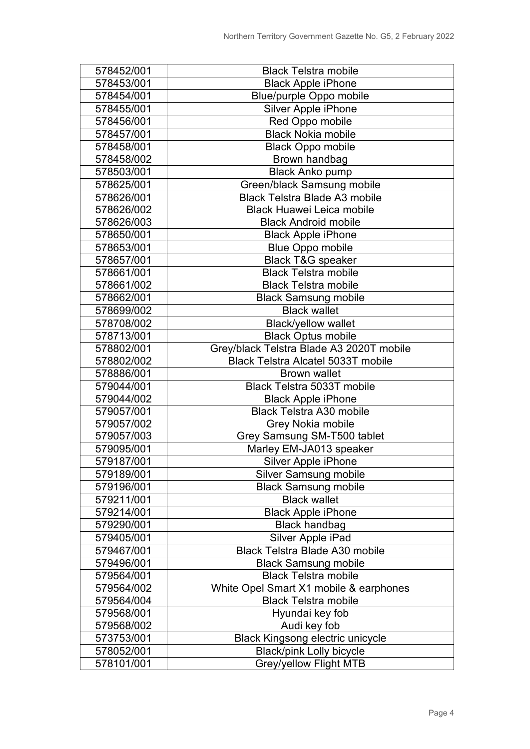| 578452/001 | <b>Black Telstra mobile</b>               |
|------------|-------------------------------------------|
| 578453/001 | <b>Black Apple iPhone</b>                 |
| 578454/001 | Blue/purple Oppo mobile                   |
| 578455/001 | Silver Apple iPhone                       |
| 578456/001 | Red Oppo mobile                           |
| 578457/001 | <b>Black Nokia mobile</b>                 |
| 578458/001 | <b>Black Oppo mobile</b>                  |
| 578458/002 | Brown handbag                             |
| 578503/001 | <b>Black Anko pump</b>                    |
| 578625/001 | Green/black Samsung mobile                |
| 578626/001 | <b>Black Telstra Blade A3 mobile</b>      |
| 578626/002 | <b>Black Huawei Leica mobile</b>          |
| 578626/003 | <b>Black Android mobile</b>               |
| 578650/001 | <b>Black Apple iPhone</b>                 |
| 578653/001 | <b>Blue Oppo mobile</b>                   |
| 578657/001 | <b>Black T&amp;G speaker</b>              |
| 578661/001 | <b>Black Telstra mobile</b>               |
| 578661/002 | <b>Black Telstra mobile</b>               |
| 578662/001 | <b>Black Samsung mobile</b>               |
| 578699/002 | <b>Black wallet</b>                       |
| 578708/002 | <b>Black/yellow wallet</b>                |
| 578713/001 | <b>Black Optus mobile</b>                 |
| 578802/001 | Grey/black Telstra Blade A3 2020T mobile  |
| 578802/002 | <b>Black Telstra Alcatel 5033T mobile</b> |
| 578886/001 | <b>Brown wallet</b>                       |
| 579044/001 | <b>Black Telstra 5033T mobile</b>         |
| 579044/002 | <b>Black Apple iPhone</b>                 |
| 579057/001 | <b>Black Telstra A30 mobile</b>           |
| 579057/002 | Grey Nokia mobile                         |
| 579057/003 | Grey Samsung SM-T500 tablet               |
| 579095/001 | Marley EM-JA013 speaker                   |
| 579187/001 | Silver Apple iPhone                       |
| 579189/001 | <b>Silver Samsung mobile</b>              |
| 579196/001 | <b>Black Samsung mobile</b>               |
| 579211/001 | <b>Black wallet</b>                       |
| 579214/001 | <b>Black Apple iPhone</b>                 |
| 579290/001 | <b>Black handbag</b>                      |
| 579405/001 | Silver Apple iPad                         |
| 579467/001 | <b>Black Telstra Blade A30 mobile</b>     |
| 579496/001 | <b>Black Samsung mobile</b>               |
| 579564/001 | <b>Black Telstra mobile</b>               |
| 579564/002 | White Opel Smart X1 mobile & earphones    |
| 579564/004 | <b>Black Telstra mobile</b>               |
| 579568/001 | Hyundai key fob                           |
| 579568/002 | Audi key fob                              |
| 573753/001 | Black Kingsong electric unicycle          |
| 578052/001 | <b>Black/pink Lolly bicycle</b>           |
| 578101/001 | <b>Grey/yellow Flight MTB</b>             |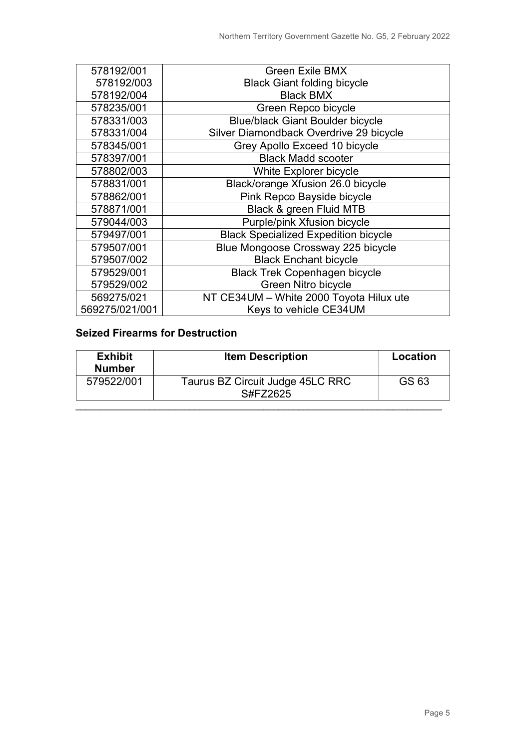| 578192/001     | <b>Green Exile BMX</b>                      |
|----------------|---------------------------------------------|
| 578192/003     | <b>Black Giant folding bicycle</b>          |
| 578192/004     | <b>Black BMX</b>                            |
| 578235/001     | Green Repco bicycle                         |
| 578331/003     | <b>Blue/black Giant Boulder bicycle</b>     |
| 578331/004     | Silver Diamondback Overdrive 29 bicycle     |
| 578345/001     | Grey Apollo Exceed 10 bicycle               |
| 578397/001     | <b>Black Madd scooter</b>                   |
| 578802/003     | White Explorer bicycle                      |
| 578831/001     | Black/orange Xfusion 26.0 bicycle           |
| 578862/001     | Pink Repco Bayside bicycle                  |
| 578871/001     | Black & green Fluid MTB                     |
| 579044/003     | Purple/pink Xfusion bicycle                 |
| 579497/001     | <b>Black Specialized Expedition bicycle</b> |
| 579507/001     | Blue Mongoose Crossway 225 bicycle          |
| 579507/002     | <b>Black Enchant bicycle</b>                |
| 579529/001     | <b>Black Trek Copenhagen bicycle</b>        |
| 579529/002     | Green Nitro bicycle                         |
| 569275/021     | NT CE34UM - White 2000 Toyota Hilux ute     |
| 569275/021/001 | Keys to vehicle CE34UM                      |

### **Seized Firearms for Destruction**

| <b>Exhibit</b><br><b>Number</b> | <b>Item Description</b>                      | Location |
|---------------------------------|----------------------------------------------|----------|
| 579522/001                      | Taurus BZ Circuit Judge 45LC RRC<br>S#FZ2625 | GS 63    |
|                                 |                                              |          |